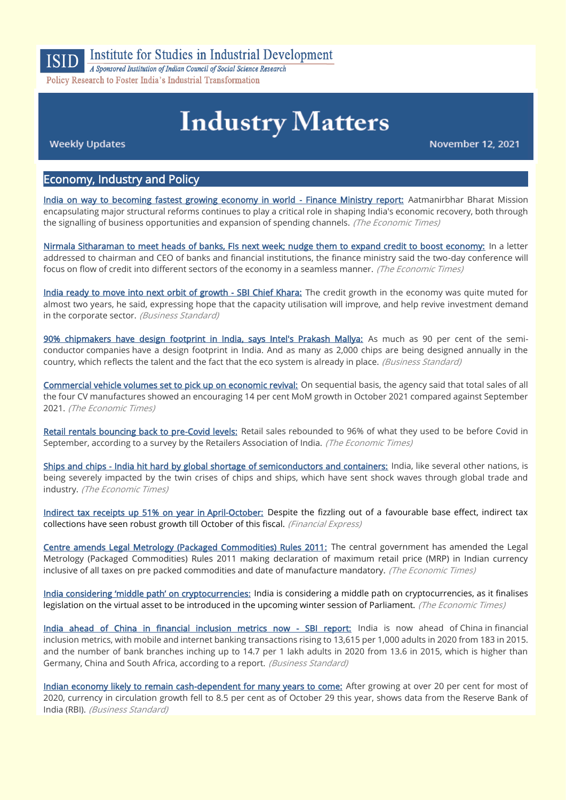

# Institute for Studies in Industrial Development

A Sponsored Institution of Indian Council of Social Science Research Policy Research to Foster India's Industrial Transformation

# **Industry Matters**

**Weekly Updates** 

November 12, 2021

## Economy, Industry and Policy

[India on way to becoming fastest growing economy in world - Finance Ministry report:](https://economictimes.indiatimes.com/news/economy/policy/india-on-way-to-becoming-fastest-growing-economy-in-world-finance-ministry-report/articleshow/87623416.cms) Aatmanirbhar Bharat Mission encapsulating major structural reforms continues to play a critical role in shaping India's economic recovery, both through the signalling of business opportunities and expansion of spending channels. (The Economic Times)

[Nirmala Sitharaman to meet heads of banks, FIs next week; nudge them to expand credit to boost economy:](https://economictimes.indiatimes.com/news/economy/policy/nirmala-sitharaman-to-meet-heads-of-banks-fis-next-week-nudge-them-to-expand-credit-to-boost-economy/articleshow/87623195.cms) In a letter addressed to chairman and CEO of banks and financial institutions, the finance ministry said the two-day conference will focus on flow of credit into different sectors of the economy in a seamless manner. *(The Economic Times)* 

[India ready to move into next orbit of growth - SBI Chief Khara:](https://www.business-standard.com/article/economy-policy/india-ready-to-move-into-next-orbit-of-growth-sbi-chief-khara-121110601159_1.html) The credit growth in the economy was quite muted for almost two years, he said, expressing hope that the capacity utilisation will improve, and help revive investment demand in the corporate sector. (Business Standard)

[90% chipmakers have design footprint in India, says Intel's Prakash Mallya:](https://www.business-standard.com/article/companies/90-chipmakers-have-design-footprint-in-india-says-intel-s-prakash-mallya-121110900089_1.html) As much as 90 per cent of the semiconductor companies have a design footprint in India. And as many as 2,000 chips are being designed annually in the country, which reflects the talent and the fact that the eco system is already in place. (Business Standard)

[Commercial vehicle volumes set to pick up on economic revival:](https://economictimes.indiatimes.com/industry/auto/lcv-hcv/commercial-vehicle-volumes-set-to-pick-up-on-economic-revival/articleshow/87559446.cms) On sequential basis, the agency said that total sales of all the four CV manufactures showed an encouraging 14 per cent MoM growth in October 2021 compared against September 2021. (The Economic Times)

[Retail rentals bouncing back to pre-Covid levels:](https://economictimes.indiatimes.com/industry/services/retail/retail-rentals-bouncing-back-to-pre-covid-levels/articleshow/87546657.cms) Retail sales rebounded to 96% of what they used to be before Covid in September, according to a survey by the Retailers Association of India. (The Economic Times)

[Ships and chips - India hit hard by global shortage of semiconductors and containers:](https://economictimes.indiatimes.com/industry/cons-products/electronics/ships-and-chips-india-hit-hard-by-global-shortage-of-semiconductors-and-containers/articleshow/87558911.cms) India, like several other nations, is being severely impacted by the twin crises of chips and ships, which have sent shock waves through global trade and industry. (The Economic Times)

[Indirect tax receipts up 51% on year in April-October:](https://www.financialexpress.com/economy/indirect-tax-receipts-up-51-on-year-in-april-october/2366711/) Despite the fizzling out of a favourable base effect, indirect tax collections have seen robust growth till October of this fiscal. (Financial Express)

[Centre amends Legal Metrology \(Packaged Commodities\) Rules 2011:](https://economictimes.indiatimes.com/industry/cons-products/fmcg/centre-amends-legal-metrology-packaged-commodities-rules-2011/articleshow/87588907.cms) The central government has amended the Legal Metrology (Packaged Commodities) Rules 2011 making declaration of maximum retail price (MRP) in Indian currency inclusive of all taxes on pre packed commodities and date of manufacture mandatory. (The Economic Times)

[India considering 'middle path' on cryptocurrencies:](https://economictimes.indiatimes.com/tech/tech-bytes/policymakers-considering-middle-path-on-cryptocurrencies/articleshow/87572085.cms) India is considering a middle path on cryptocurrencies, as it finalises legislation on the virtual asset to be introduced in the upcoming winter session of Parliament. (The Economic Times)

[India ahead of China in financial inclusion metrics now - SBI report:](https://www.business-standard.com/article/economy-policy/india-ahead-of-china-in-financial-inclusion-metrics-now-sbi-report-121110801290_1.html) India is now ahead of China in financial inclusion metrics, with mobile and internet banking transactions rising to 13,615 per 1,000 adults in 2020 from 183 in 2015. and the number of bank branches inching up to 14.7 per 1 lakh adults in 2020 from 13.6 in 2015, which is higher than Germany, China and South Africa, according to a report. (Business Standard)

[Indian economy likely to remain cash-dependent for many years to come:](https://www.business-standard.com/article/economy-policy/indian-economy-likely-to-remain-cash-dependent-for-many-years-to-come-121110700373_1.html) After growing at over 20 per cent for most of 2020, currency in circulation growth fell to 8.5 per cent as of October 29 this year, shows data from the Reserve Bank of India (RBI). (Business Standard)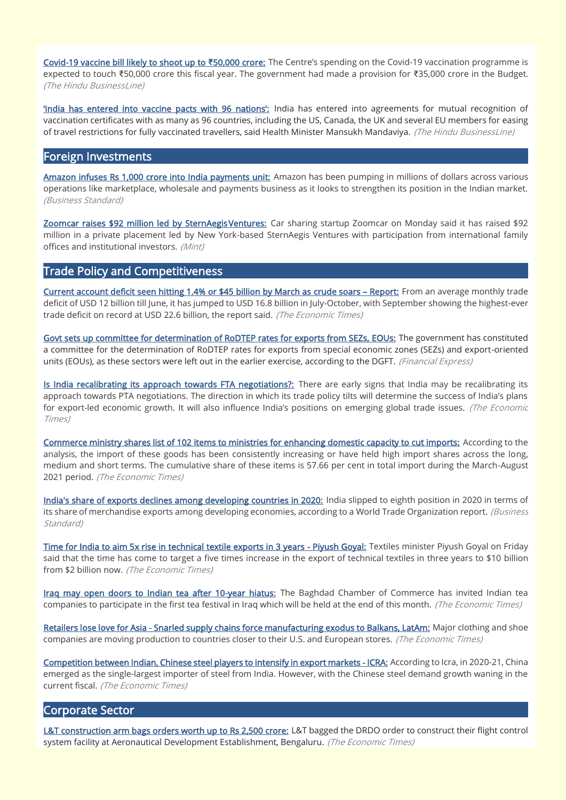[Covid-19 vaccine bill likely to shoot up to](https://www.thehindubusinessline.com/economy/covid-19-vaccine-bill-likely-to-shoot-up-to-50000-crore/article37406531.ece) **₹**50,000 crore: The Centre's spending on the Covid-19 vaccination programme is expected to touch ₹50,000 crore this fiscal year. The government had made a provision for ₹35,000 crore in the Budget. (The Hindu BusinessLine)

['India has entered into vaccine pacts with 96 nations':](https://www.thehindubusinessline.com/news/national/india-enters-into-vaccine-pacts-with-96-countries/article37402804.ece) India has entered into agreements for mutual recognition of vaccination certificates with as many as 96 countries, including the US, Canada, the UK and several EU members for easing of travel restrictions for fully vaccinated travellers, said Health Minister Mansukh Mandaviya. (The Hindu BusinessLine)

#### Foreign Investments

[Amazon infuses Rs 1,000 crore into India payments unit:](https://www.business-standard.com/article/companies/amazon-infuses-rs-1-000-crore-into-india-payments-unit-121110801786_1.html) Amazon has been pumping in millions of dollars across various operations like marketplace, wholesale and payments business as it looks to strengthen its position in the Indian market. (Business Standard)

Zoomcar raises \$92 million led by SternAegis Ventures: Car sharing startup Zoomcar on Monday said it has raised \$92 million in a private placement led by New York-based SternAegis Ventures with participation from international family offices and institutional investors. (Mint)

## Trade Policy and Competitiveness

[Current account deficit seen hitting 1.4% or \\$45 billion by March as crude soars](https://economictimes.indiatimes.com/news/economy/indicators/cad-seen-hitting-1-4-or-45-billion-by-march-as-crude-soars-report/articleshow/87643936.cms) - Report: From an average monthly trade deficit of USD 12 billion till June, it has jumped to USD 16.8 billion in July-October, with September showing the highest-ever trade deficit on record at USD 22.6 billion, the report said. (The Economic Times)

[Govt sets up committee for determination of RoDTEP rates for exports from SEZs, EOUs:](https://www.financialexpress.com/economy/govt-sets-up-committee-for-determination-of-rodtep-rates-for-exports-from-sezs-eous/2366764/) The government has constituted a committee for the determination of RoDTEP rates for exports from special economic zones (SEZs) and export-oriented units (EOUs), as these sectors were left out in the earlier exercise, according to the DGFT. (Financial Express)

[Is India recalibrating its approach towards FTA negotiations?:](https://economictimes.indiatimes.com/news/economy/foreign-trade/is-india-recalibrating-its-approach-towards-fta-negotiations/articleshow/87599925.cms) There are early signs that India may be recalibrating its approach towards PTA negotiations. The direction in which its trade policy tilts will determine the success of India's plans for export-led economic growth. It will also influence India's positions on emerging global trade issues. (The Economic Times)

[Commerce ministry shares list of 102 items to ministries for enhancing domestic capacity to cut imports:](https://economictimes.indiatimes.com/news/economy/foreign-trade/commerce-ministry-shares-list-of-102-items-to-ministries-for-enhancing-domestic-capacity-to-cut-imports/articleshow/87626970.cms) According to the analysis, the import of these goods has been consistently increasing or have held high import shares across the long, medium and short terms. The cumulative share of these items is 57.66 per cent in total import during the March-August 2021 period. (The Economic Times)

[India's share of exports declines among developing countries in 2020:](https://www.business-standard.com/article/economy-policy/india-s-share-of-exports-declines-among-developing-countries-in-2020-121110600912_1.html) India slipped to eighth position in 2020 in terms of its share of merchandise exports among developing economies, according to a World Trade Organization report. *(Business* Standard)

[Time for India to aim 5x rise in technical textile exports in 3 years - Piyush Goyal:](https://economictimes.indiatimes.com/industry/cons-products/garments-/-textiles/time-for-india-to-aim-5x-rise-in-technical-textile-exports-in-3-years-piyush-goyal/articleshow/87539482.cms) Textiles minister Piyush Goyal on Friday said that the time has come to target a five times increase in the export of technical textiles in three years to \$10 billion from \$2 billion now. (The Economic Times)

[Iraq may open doors to Indian tea after 10-year hiatus:](https://economictimes.indiatimes.com/news/economy/foreign-trade/iraq-may-open-doors-to-indian-tea-after-10-year-hiatus/articleshow/87590533.cms) The Baghdad Chamber of Commerce has invited Indian tea companies to participate in the first tea festival in Iraq which will be held at the end of this month. (The Economic Times)

[Retailers lose love for Asia - Snarled supply chains force manufacturing exodus to Balkans, LatAm:](https://economictimes.indiatimes.com/small-biz/trade/exports/insights/retailers-lose-love-for-asia-snarled-supply-chains-force-manufacturing-exodus-to-balkans-latam/articleshow/87618795.cms) Major clothing and shoe companies are moving production to countries closer to their U.S. and European stores. (The Economic Times)

[Competition between Indian, Chinese steel players to intensify in export markets - ICRA:](https://economictimes.indiatimes.com/industry/indl-goods/svs/steel/competition-between-indian-chinese-steel-players-to-intensify-in-export-markets-icra/articleshow/87629445.cms) According to Icra, in 2020-21, China emerged as the single-largest importer of steel from India. However, with the Chinese steel demand growth waning in the current fiscal. (The Economic Times)

#### Corporate Sector

[L&T construction arm bags orders worth up to Rs 2,500 crore:](https://economictimes.indiatimes.com/industry/indl-goods/svs/construction/lt-construction-arm-bags-orders-worth-up-to-rs-2500-crore/articleshow/87580634.cms) L&T bagged the DRDO order to construct their flight control system facility at Aeronautical Development Establishment, Bengaluru. (The Economic Times)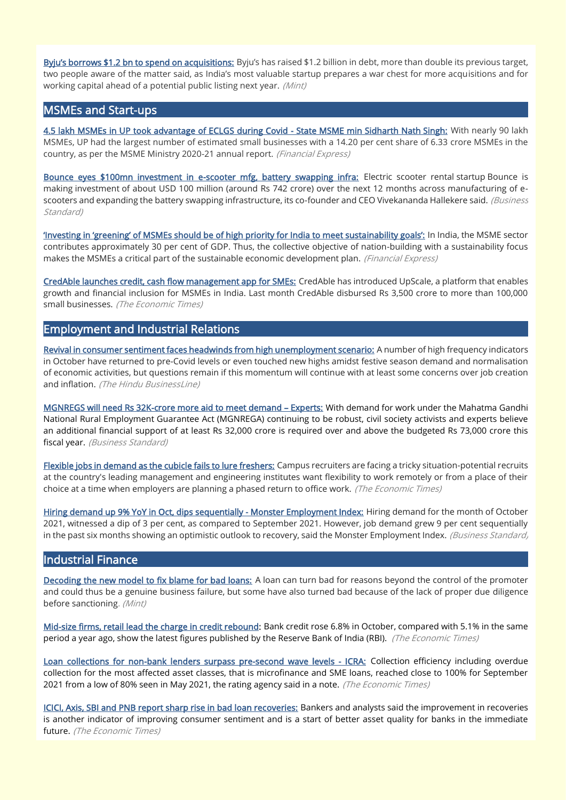[Byju's borrows \\$1.2 bn to spend on acquisitions:](https://www.livemint.com/companies/news/ipobound-byju-s-upsizes-term-loan-target-to-1-2-bn-11636379403043.html) Byju's has raised \$1.2 billion in debt, more than double its previous target, two people aware of the matter said, as India's most valuable startup prepares a war chest for more acquisitions and for working capital ahead of a potential public listing next year. (Mint)

#### MSMEs and Start-ups

[4.5 lakh MSMEs in UP took advantage of ECLGS during Covid - State MSME min Sidharth Nath Singh:](https://www.financialexpress.com/industry/sme/msme-fin-4-5-lakh-msmes-in-up-took-advantage-of-eclgs-during-covid-state-msme-min-sidharth-nath-singh/2366456/) With nearly 90 lakh MSMEs, UP had the largest number of estimated small businesses with a 14.20 per cent share of 6.33 crore MSMEs in the country, as per the MSME Ministry 2020-21 annual report. (Financial Express)

[Bounce eyes \\$100mn investment in e-scooter mfg, battery swapping infra:](https://www.business-standard.com/article/companies/bounce-eyes-100mn-investment-in-e-scooter-mfg-battery-swapping-infra-121110700471_1.html) Electric scooter rental startup Bounce is making investment of about USD 100 million (around Rs 742 crore) over the next 12 months across manufacturing of escooters and expanding the battery swapping infrastructure, its co-founder and CEO Vivekananda Hallekere said. (Business Standard)

['Investing in 'greening' of MSMEs should be of high priority for India to meet susta](https://www.financialexpress.com/industry/sme/cafe-sme/msme-sust-investing-in-greening-of-msmes-should-be-of-high-priority-for-india-to-meet-sustainability-goals/2364371/)inability goals': In India, the MSME sector contributes approximately 30 per cent of GDP. Thus, the collective objective of nation-building with a sustainability focus makes the MSMEs a critical part of the sustainable economic development plan. (Financial Express)

[CredAble launches credit, cash flow management app for SMEs:](https://economictimes.indiatimes.com/small-biz/sme-sector/credable-launches-credit-cash-flow-management-app-for-smes/articleshow/87641988.cms) CredAble has introduced UpScale, a platform that enables growth and financial inclusion for MSMEs in India. Last month CredAble disbursed Rs 3,500 crore to more than 100,000 small businesses. (The Economic Times)

## Employment and Industrial Relations

[Revival in consumer sentiment faces headwinds from high unemployment scenario:](https://www.thehindubusinessline.com/economy/revival-in-consumer-sentiment-faces-headwinds-from-high-unemployment-scenario/article37378085.ece) A number of high frequency indicators in October have returned to pre-Covid levels or even touched new highs amidst festive season demand and normalisation of economic activities, but questions remain if this momentum will continue with at least some concerns over job creation and inflation. (The Hindu BusinessLine)

[MGNREGS will need Rs 32K-crore more aid to meet demand](https://www.business-standard.com/article/economy-policy/mgnrega-will-need-rs-32-000-crore-pick-me-up-to-meet-demand-experts-121110901806_1.html) – Experts: With demand for work under the Mahatma Gandhi National Rural Employment Guarantee Act (MGNREGA) continuing to be robust, civil society activists and experts believe an additional financial support of at least Rs 32,000 crore is required over and above the budgeted Rs 73,000 crore this fiscal year. (Business Standard)

[Flexible jobs in demand as the cubicle fails to lure freshers:](https://economictimes.indiatimes.com/jobs/flexible-jobs-in-demand-as-the-cubicle-fails-to-lure-freshers/articleshow/87656929.cms) Campus recruiters are facing a tricky situation-potential recruits at the country's leading management and engineering institutes want flexibility to work remotely or from a place of their choice at a time when employers are planning a phased return to office work. (The Economic Times)

[Hiring demand up 9% YoY in Oct, dips sequentially - Monster Employment Index:](https://www.business-standard.com/article/economy-policy/hiring-demand-up-9-yoy-in-oct-dips-sequentially-monster-employment-index-121110900846_1.html) Hiring demand for the month of October 2021, witnessed a dip of 3 per cent, as compared to September 2021. However, job demand grew 9 per cent sequentially in the past six months showing an optimistic outlook to recovery, said the Monster Employment Index. (Business Standard,

#### Industrial Finance

[Decoding the new model to fix blame for bad loans:](https://www.livemint.com/industry/banking/how-new-norms-on-bad-loans-will-affect-psb-staff-11636307736643.html) A loan can turn bad for reasons beyond the control of the promoter and could thus be a genuine business failure, but some have also turned bad because of the lack of proper due diligence before sanctioning. (Mint)

[Mid-size firms, retail lead the charge in credit rebound:](https://economictimes.indiatimes.com/industry/banking/finance/banking/mid-size-firms-retail-lead-the-charge-in-credit-rebound/articleshow/87531374.cms) Bank credit rose 6.8% in October, compared with 5.1% in the same period a year ago, show the latest figures published by the Reserve Bank of India (RBI). (The Economic Times)

[Loan collections for non-bank lenders surpass pre-second wave levels - ICRA:](https://economictimes.indiatimes.com/industry/banking/finance/loan-collections-for-non-bank-lenders-surpass-pre-second-wave-levels-icra/articleshow/87625858.cms) Collection efficiency including overdue collection for the most affected asset classes, that is microfinance and SME loans, reached close to 100% for September 2021 from a low of 80% seen in May 2021, the rating agency said in a note. (The Economic Times)

[ICICI, Axis, SBI and PNB report sharp rise in bad loan recoveries:](https://economictimes.indiatimes.com/industry/banking/finance/banking/icici-axis-sbi-and-pnb-report-sharp-rise-in-bad-loan-recoveries/articleshow/87595371.cms) Bankers and analysts said the improvement in recoveries is another indicator of improving consumer sentiment and is a start of better asset quality for banks in the immediate future. (The Economic Times)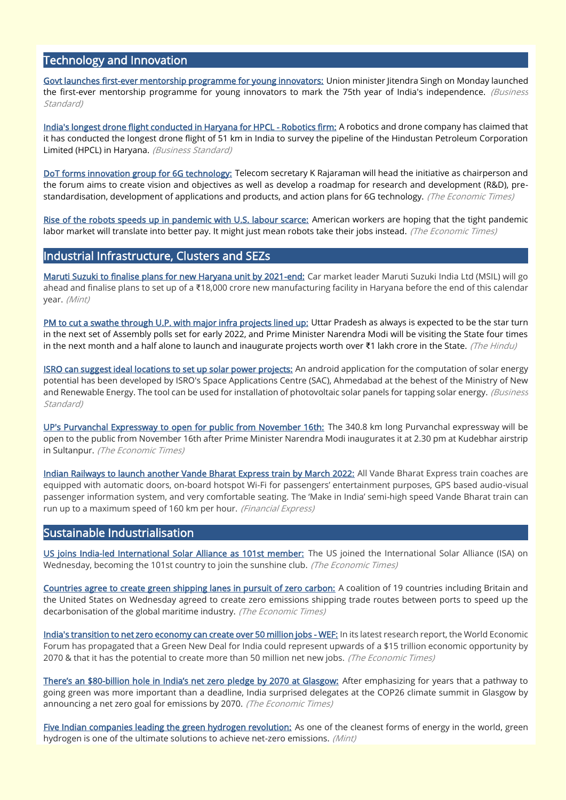## Technology and Innovation

[Govt launches first-ever mentorship programme for young innovators:](https://www.business-standard.com/article/economy-policy/govt-launches-first-ever-mentorship-programme-for-young-innovators-121110801702_1.html) Union minister Jitendra Singh on Monday launched the first-ever mentorship programme for young innovators to mark the 75th year of India's independence. (Business Standard)

[India's longest drone flight conducted in Haryana for HPCL - Robotics firm:](https://www.business-standard.com/article/pti-stories/india-s-longest-drone-flight-conducted-in-haryana-for-hpcl-claims-robotics-firm-121110700182_1.html) A robotics and drone company has claimed that it has conducted the longest drone flight of 51 km in India to survey the pipeline of the Hindustan Petroleum Corporation Limited (HPCL) in Haryana. (Business Standard)

[DoT forms innovation group for 6G technology:](https://economictimes.indiatimes.com/industry/telecom/telecom-news/dot-forms-innovation-group-for-6g-technology/articleshow/87529095.cms?from=mdr) Telecom secretary K Rajaraman will head the initiative as chairperson and the forum aims to create vision and objectives as well as develop a roadmap for research and development (R&D), prestandardisation, development of applications and products, and action plans for 6G technology. (The Economic Times)

[Rise of the robots speeds up in pandemic with U.S. labour scarce:](https://economictimes.indiatimes.com/small-biz/sme-sector/rise-of-the-robots-speeds-up-in-pandemic-with-u-s-labour-scarce/articleshow/87564224.cms) American workers are hoping that the tight pandemic labor market will translate into better pay. It might just mean robots take their jobs instead. (The Economic Times)

#### Industrial Infrastructure, Clusters and SEZs

[Maruti Suzuki to finalise plans for new Haryana unit by 2021-end:](https://www.livemint.com/companies/news/maruti-suzuki-to-finalise-plans-for-new-haryana-unit-by-2021end-11636378419357.html) Car market leader Maruti Suzuki India Ltd (MSIL) will go ahead and finalise plans to set up of a ₹18,000 crore new manufacturing facility in Haryana before the end of this calendar year. (Mint)

[PM to cut a swathe through U.P. with major infra projects lined up:](https://www.thehindu.com/news/national/pm-to-cut-a-swathe-through-up-with-major-infra-projects-lined-up/article37401615.ece) Uttar Pradesh as always is expected to be the star turn in the next set of Assembly polls set for early 2022, and Prime Minister Narendra Modi will be visiting the State four times in the next month and a half alone to launch and inaugurate projects worth over ₹1 lakh crore in the State. (The Hindu)

[ISRO can suggest ideal locations to set up solar power projects:](https://www.business-standard.com/article/current-affairs/isro-can-suggest-ideal-locations-to-set-up-solar-power-projects-121110500515_1.html) An android application for the computation of solar energy potential has been developed by ISRO's Space Applications Centre (SAC), Ahmedabad at the behest of the Ministry of New and Renewable Energy. The tool can be used for installation of photovoltaic solar panels for tapping solar energy. *(Business*) Standard)

[UP's Purvanchal Expressway to open for public from November 16th:](https://economictimes.indiatimes.com/news/india/ups-purvanchal-expressway-to-open-for-public-from-november-16th/articleshow/87640137.cms) The 340.8 km long Purvanchal expressway will be open to the public from November 16th after Prime Minister Narendra Modi inaugurates it at 2.30 pm at Kudebhar airstrip in Sultanpur. (The Economic Times)

[Indian Railways to launch another Vande Bharat Express train by March 2022:](https://www.financialexpress.com/infrastructure/railways/indian-railways-to-launch-another-vande-bharat-express-train-by-march-2022/2365475/) All Vande Bharat Express train coaches are equipped with automatic doors, on-board hotspot Wi-Fi for passengers' entertainment purposes, GPS based audio-visual passenger information system, and very comfortable seating. The 'Make in India' semi-high speed Vande Bharat train can run up to a maximum speed of 160 km per hour. (Financial Express)

#### Sustainable Industrialisation

[US joins India-led International Solar Alliance as 101st member:](https://economictimes.indiatimes.com/industry/renewables/us-joins-india-led-international-solar-alliance-as-101st-member/articleshow/87637705.cms) The US joined the International Solar Alliance (ISA) on Wednesday, becoming the 101st country to join the sunshine club. (The Economic Times)

[Countries agree to create green shipping lanes in pursuit of zero carbon:](https://economictimes.indiatimes.com/small-biz/trade/exports/insights/countries-agree-to-create-green-shipping-lanes-in-pursuit-of-zero-carbon/articleshow/87639137.cms) A coalition of 19 countries including Britain and the United States on Wednesday agreed to create zero emissions shipping trade routes between ports to speed up the decarbonisation of the global maritime industry. (The Economic Times)

[India's transition to net zero economy can create over 50 million jobs - WEF:](https://economictimes.indiatimes.com/industry/renewables/indias-transition-to-net-zero-economy-can-create-over-50-million-jobs-wef/articleshow/87584310.cms) In its latest research report, the World Economic Forum has propagated that a Green New Deal for India could represent upwards of a \$15 trillion economic opportunity by 2070 & that it has the potential to create more than 50 million net new jobs. (The Economic Times)

There's an \$80-[billion hole in India's net zero pledge by 2070 at Glasgow:](https://economictimes.indiatimes.com/industry/renewables/theres-an-80-billion-hole-in-indias-net-zero-pledge-by-2070-at-glasgow/articleshow/87597623.cms) After emphasizing for years that a pathway to going green was more important than a deadline, India surprised delegates at the COP26 climate summit in Glasgow by announcing a net zero goal for emissions by 2070. (The Economic Times)

[Five Indian companies leading the green hydrogen revolution:](https://www.livemint.com/industry/energy/five-indian-companies-leading-the-green-hydrogen-revolution-11636369476063.html) As one of the cleanest forms of energy in the world, green hydrogen is one of the ultimate solutions to achieve net-zero emissions. (Mint)